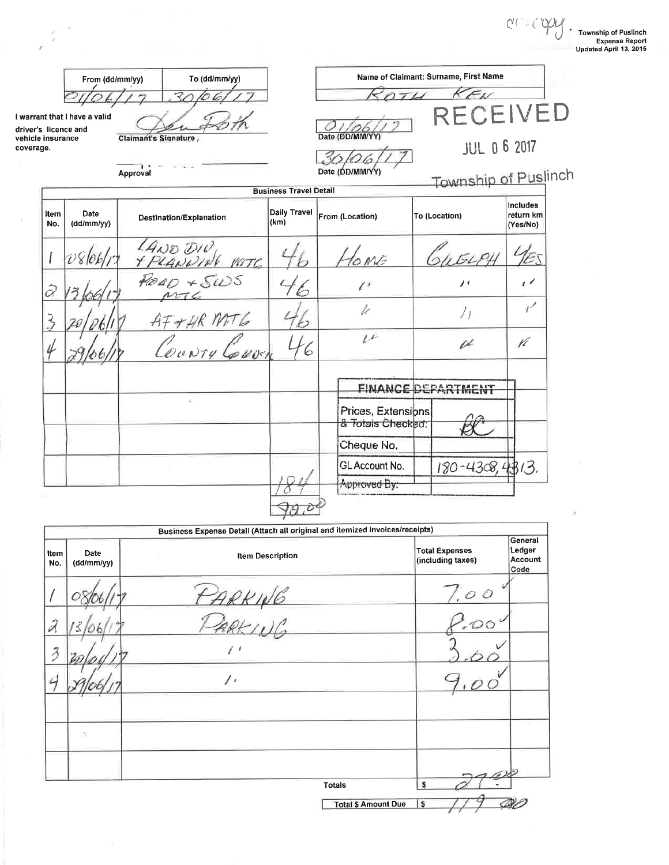$\begin{CD} \begin{picture}(120,14) \put(0,0){\line(1,0){155}} \put(15,0){\line(1,0){155}} \put(15,0){\line(1,0){155}} \put(15,0){\line(1,0){155}} \put(15,0){\line(1,0){155}} \put(15,0){\line(1,0){155}} \put(15,0){\line(1,0){155}} \put(15,0){\line(1,0){155}} \put(15,0){\line(1,0){155}} \put(15,0){\line(1,0){155}} \put(15,0){\line(1,0$ 

| To (dd/mm/yy)<br>From (dd/mm/yy)                                                                        |                    |          | Name of Claimant: Surname, First Name<br>$K_{\mathcal{K}}$ |                                                       |                                         |  |                           |                                          |
|---------------------------------------------------------------------------------------------------------|--------------------|----------|------------------------------------------------------------|-------------------------------------------------------|-----------------------------------------|--|---------------------------|------------------------------------------|
| ₹<br>I warrant that I have a valid<br>driver's licence and<br>Claimant's Signature<br>vehicle insurance |                    |          | RECEIVED<br>Date (DD/MM/YY)                                |                                                       |                                         |  |                           |                                          |
| coverage.                                                                                               |                    |          |                                                            |                                                       |                                         |  | <b>JUL 0 6 2017</b>       |                                          |
|                                                                                                         |                    | Approval |                                                            |                                                       | Date (DD/MM/YY)                         |  | Township of Puslinch      |                                          |
| Item<br>No.                                                                                             | Date<br>(dd/mm/yy) |          | Destination/Explanation                                    | <b>Business Travel Detail</b><br>Daily Travel<br>(km) | From (Location)                         |  | To (Location)             | <b>Includes</b><br>return km<br>(Yes/No) |
|                                                                                                         | D810k              |          | LAND DIV<br>Y PLANNING POTC                                |                                                       | OME                                     |  |                           |                                          |
| $\hat{\varnothing}$                                                                                     |                    |          | Rq                                                         |                                                       | $\ell^*$                                |  | バ                         | $\epsilon$                               |
| Z                                                                                                       |                    |          | $A\ddot{t}+HR$ MTG                                         |                                                       | $\frac{1}{k}$                           |  | ノェ                        | $\gamma^{\mathcal{L}}$                   |
|                                                                                                         |                    |          | County Couver                                              | 6                                                     | $\iota$                                 |  | v                         | Vt                                       |
|                                                                                                         |                    |          |                                                            |                                                       |                                         |  | <b>FINANCE DEPARTMENT</b> |                                          |
|                                                                                                         |                    |          | $\mathcal{C}$                                              |                                                       | Prices, Extensions<br>& Totals Checked: |  |                           |                                          |
|                                                                                                         |                    |          |                                                            |                                                       | Cheque No.                              |  |                           |                                          |
|                                                                                                         |                    |          |                                                            |                                                       | GL Account No.<br>Approved By:          |  | 180-4308,4313.            |                                          |
|                                                                                                         |                    |          |                                                            |                                                       |                                         |  |                           |                                          |

 $\mathcal{R}$  $\frac{10}{\pi}$  $\bar{F}$ 

|                             |                    | Business Expense Detail (Attach all original and itemized invoices/receipts) |                            |                                            |                                      |
|-----------------------------|--------------------|------------------------------------------------------------------------------|----------------------------|--------------------------------------------|--------------------------------------|
| Item<br>No.                 | Date<br>(dd/mm/yy) | <b>Item Description</b>                                                      |                            | <b>Total Expenses</b><br>(including taxes) | General<br>Ledger<br>Account<br>Code |
|                             |                    |                                                                              |                            | $\frac{1.00}{2.00}$                        |                                      |
| $\hat{\mathcal{J}}$         |                    | ARKING<br>PARKINA                                                            |                            |                                            |                                      |
| $\mathcal{Z}_{\mathcal{D}}$ |                    |                                                                              |                            |                                            |                                      |
|                             |                    | $\prime\,$                                                                   |                            |                                            |                                      |
|                             |                    |                                                                              |                            |                                            |                                      |
|                             | ×                  |                                                                              |                            |                                            |                                      |
|                             |                    |                                                                              |                            |                                            |                                      |
|                             |                    |                                                                              | Totals                     |                                            |                                      |
|                             |                    |                                                                              | <b>Total \$ Amount Due</b> | s                                          |                                      |